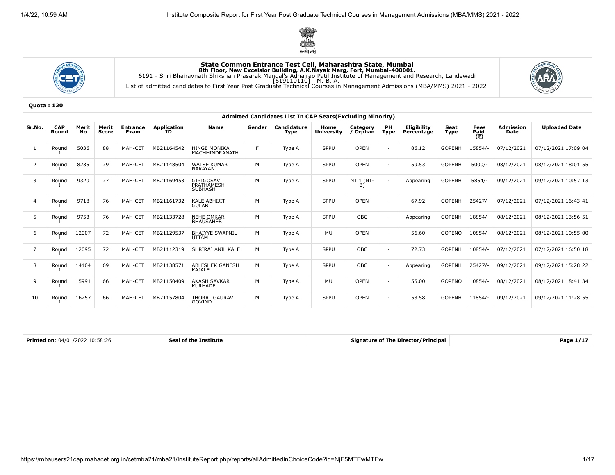





|                | <b>Admitted Candidates List In CAP Seats (Excluding Minority)</b> |             |                |                         |                          |                                         |        |                            |                           |                      |                          |                           |               |                     |                          |                      |
|----------------|-------------------------------------------------------------------|-------------|----------------|-------------------------|--------------------------|-----------------------------------------|--------|----------------------------|---------------------------|----------------------|--------------------------|---------------------------|---------------|---------------------|--------------------------|----------------------|
| Sr.No.         | <b>CAP</b><br>Round                                               | Merit<br>No | Merit<br>Score | <b>Entrance</b><br>Exam | <b>Application</b><br>ID | <b>Name</b>                             | Gender | Candidature<br><b>Type</b> | Home<br><b>University</b> | Category<br>/ Orphan | PH<br><b>Type</b>        | Eligibility<br>Percentage | Seat<br>Type  | Fees<br>Paid<br>(₹) | <b>Admission</b><br>Date | <b>Uploaded Date</b> |
|                | Round                                                             | 5036        | 88             | MAH-CET                 | MB21164542               | <b>HINGE MONIKA</b><br>MACHHINDRANATH   | F.     | Type A                     | SPPU                      | <b>OPEN</b>          | $\overline{\phantom{a}}$ | 86.12                     | <b>GOPENH</b> | 15854/-             | 07/12/2021               | 07/12/2021 17:09:04  |
| $\overline{2}$ | Round                                                             | 8235        | 79             | MAH-CET                 | MB21148504               | <b>WALSE KUMAR</b><br><b>NARAYAN</b>    | M      | Type A                     | SPPU                      | <b>OPEN</b>          | $\overline{\phantom{a}}$ | 59.53                     | <b>GOPENH</b> | $5000/-$            | 08/12/2021               | 08/12/2021 18:01:55  |
| 3              | Round                                                             | 9320        | 77             | MAH-CET                 | MB21169453               | GIRIGOSAVI<br>PRATHAMESH                | M      | Type A                     | SPPU                      | NT 1 (NT-<br>B)      | $\sim$                   | Appearing                 | <b>GOPENH</b> | $5854/-$            | 09/12/2021               | 09/12/2021 10:57:13  |
| $\overline{4}$ | Round                                                             | 9718        | 76             | MAH-CET                 | MB21161732               | <b>KALE ABHIJIT</b><br><b>GULAB</b>     | M      | Type A                     | SPPU                      | <b>OPEN</b>          | $\blacksquare$           | 67.92                     | <b>GOPENH</b> | $25427/-$           | 07/12/2021               | 07/12/2021 16:43:41  |
| 5              | Round                                                             | 9753        | 76             | MAH-CET                 | MB21133728               | <b>NEHE OMKAR</b><br><b>BHAUSAHEB</b>   | M      | Type A                     | SPPU                      | OBC                  | $\overline{\phantom{a}}$ | Appearing                 | <b>GOPENH</b> | 18854/-             | 08/12/2021               | 08/12/2021 13:56:51  |
| 6              | Round                                                             | 12007       | 72             | MAH-CET                 | MB21129537               | <b>BHAIYYE SWAPNIL</b><br><b>UTTAM</b>  | M      | Type A                     | <b>MU</b>                 | <b>OPEN</b>          | $\overline{\phantom{a}}$ | 56.60                     | <b>GOPENO</b> | 10854/-             | 08/12/2021               | 08/12/2021 10:55:00  |
| $\overline{7}$ | Round                                                             | 12095       | 72             | MAH-CET                 | MB21112319               | SHRIRAJ ANIL KALE                       | M      | Type A                     | SPPU                      | OBC                  | $\overline{\phantom{a}}$ | 72.73                     | <b>GOPENH</b> | 10854/-             | 07/12/2021               | 07/12/2021 16:50:18  |
| 8              | Round                                                             | 14104       | 69             | MAH-CET                 | MB21138571               | <b>ABHISHEK GANESH</b><br><b>KAJALE</b> | M      | Type A                     | SPPU                      | OBC                  | $\sim$                   | Appearing                 | <b>GOPENH</b> | $25427/-$           | 09/12/2021               | 09/12/2021 15:28:22  |
| 9              | Round                                                             | 15991       | 66             | MAH-CET                 | MB21150409               | <b>AKASH SAVKAR</b><br><b>KURHADE</b>   | M      | Type A                     | MU                        | <b>OPEN</b>          | $\overline{\phantom{a}}$ | 55.00                     | <b>GOPENO</b> | 10854/-             | 08/12/2021               | 08/12/2021 18:41:34  |
| 10             | Round                                                             | 16257       | 66             | MAH-CET                 | MB21157804               | <b>THORAT GAURAV</b><br>GOVIND          | M      | Type A                     | SPPU                      | <b>OPEN</b>          | $\overline{\phantom{a}}$ | 53.58                     | <b>GOPENH</b> | 11854/-             | 09/12/2021               | 09/12/2021 11:28:55  |

| Printed on: $04/01/2022$ $10:58:26$ | f the<br><b>CARLA</b><br>Institute | <b>Signature of The Director/Principal</b> | Page |
|-------------------------------------|------------------------------------|--------------------------------------------|------|
|-------------------------------------|------------------------------------|--------------------------------------------|------|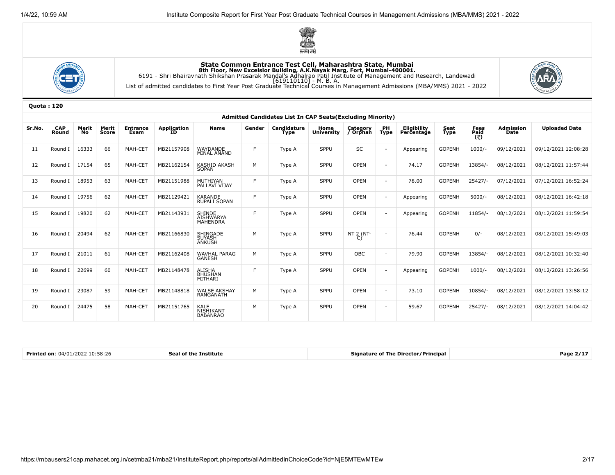





|        | <b>Admitted Candidates List In CAP Seats (Excluding Minority)</b> |              |                |                         |                          |                                                      |        |                     |                           |                      |                          |                                  |                     |                     |                          |                      |
|--------|-------------------------------------------------------------------|--------------|----------------|-------------------------|--------------------------|------------------------------------------------------|--------|---------------------|---------------------------|----------------------|--------------------------|----------------------------------|---------------------|---------------------|--------------------------|----------------------|
| Sr.No. | <b>CAP</b><br>Round                                               | Merit<br>No. | Merit<br>Score | <b>Entrance</b><br>Exam | <b>Application</b><br>ID | <b>Name</b>                                          | Gender | Candidature<br>Type | Home<br><b>University</b> | Category<br>/ Orphan | PH<br><b>Type</b>        | <b>Eligibility</b><br>Percentage | Seat<br><b>Type</b> | Fees<br>Paid<br>(₹) | <b>Admission</b><br>Date | <b>Uploaded Date</b> |
| 11     | Round                                                             | 16333        | 66             | MAH-CET                 | MB21157908               | WAYDANDE<br>MINAL ANAND                              | F      | Type A              | SPPU                      | SC                   | $\overline{a}$           | Appearing                        | <b>GOPENH</b>       | $1000/-$            | 09/12/2021               | 09/12/2021 12:08:28  |
| 12     | Round I                                                           | 17154        | 65             | MAH-CET                 | MB21162154               | <b>KASHID AKASH</b><br><b>SOPAN</b>                  | M      | Type A              | SPPU                      | <b>OPEN</b>          |                          | 74.17                            | <b>GOPENH</b>       | 13854/              | 08/12/2021               | 08/12/2021 11:57:44  |
| 13     | Round I                                                           | 18953        | 63             | MAH-CET                 | MB21151988               | MUTHIYAN<br>PALLAVI VIJAY                            | F      | Type A              | SPPU                      | <b>OPEN</b>          |                          | 78.00                            | <b>GOPENH</b>       | $25427/-$           | 07/12/2021               | 07/12/2021 16:52:24  |
| 14     | Round I                                                           | 19756        | 62             | MAH-CET                 | MB21129421               | KARANDE<br>RUPALI SOPAN                              | F      | Type A              | SPPU                      | OPEN                 |                          | Appearing                        | <b>GOPENH</b>       | 5000/               | 08/12/2021               | 08/12/2021 16:42:18  |
| 15     | Round                                                             | 19820        | 62             | MAH-CET                 | MB21143931               | <b>SHINDE</b><br><b>AISHWARYA</b><br><b>MAHENDRA</b> | F      | Type A              | SPPU                      | <b>OPEN</b>          | $\overline{\phantom{a}}$ | Appearing                        | <b>GOPENH</b>       | 11854/              | 08/12/2021               | 08/12/2021 11:59:54  |
| 16     | Round I                                                           | 20494        | 62             | MAH-CET                 | MB21166830               | SHINGADE<br><b>SUYASH</b><br><b>ANKUSH</b>           | M      | Type A              | SPPU                      | NT 2 (NT-<br>C)      |                          | 76.44                            | <b>GOPENH</b>       | $0/-$               | 08/12/2021               | 08/12/2021 15:49:03  |
| 17     | Round I                                                           | 21011        | 61             | MAH-CET                 | MB21162408               | <b>WAVHAL PARAG</b><br><b>GANESH</b>                 | M      | Type A              | SPPU                      | OBC                  | $\overline{\phantom{a}}$ | 79.90                            | <b>GOPENH</b>       | 13854/              | 08/12/2021               | 08/12/2021 10:32:40  |
| 18     | Round I                                                           | 22699        | 60             | MAH-CET                 | MB21148478               | <b>ALISHA</b><br>BHUSHAN<br>MITHARI                  | F.     | Type A              | SPPU                      | <b>OPEN</b>          | $\overline{a}$           | Appearing                        | <b>GOPENH</b>       | $1000/-$            | 08/12/2021               | 08/12/2021 13:26:56  |
| 19     | Round I                                                           | 23087        | 59             | MAH-CET                 | MB21148818               | <b>WALSE AKSHAY</b><br>RANGANATH                     | M      | Type A              | SPPU                      | OPEN                 |                          | 73.10                            | <b>GOPENH</b>       | 10854/-             | 08/12/2021               | 08/12/2021 13:58:12  |
| 20     | Round I                                                           | 24475        | 58             | MAH-CET                 | MB21151765               | <b>KALE</b><br>NISHIKANT<br><b>BABANRAO</b>          | M      | Type A              | SPPU                      | <b>OPEN</b>          | $\overline{a}$           | 59.67                            | <b>GOPENH</b>       | 25427/              | 08/12/2021               | 08/12/2021 14:04:42  |

| <b>Printed on: 04/01/2022 10:58:26</b> | Seal of the Institute | Signature of The Director/Principal | Page $2/17$ |
|----------------------------------------|-----------------------|-------------------------------------|-------------|
|----------------------------------------|-----------------------|-------------------------------------|-------------|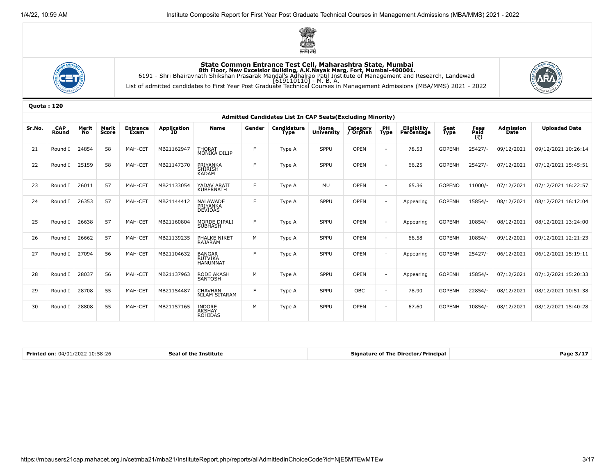





|        | Admitted Candidates List In CAP Seats (Excluding Minority) |             |                |                         |                          |                                                    |        |                            |                           |                      |                          |                                  |                     |                     |                          |                      |
|--------|------------------------------------------------------------|-------------|----------------|-------------------------|--------------------------|----------------------------------------------------|--------|----------------------------|---------------------------|----------------------|--------------------------|----------------------------------|---------------------|---------------------|--------------------------|----------------------|
| Sr.No. | <b>CAP</b><br>Round                                        | Merit<br>No | Merit<br>Score | <b>Entrance</b><br>Exam | <b>Application</b><br>ID | <b>Name</b>                                        | Gender | Candidature<br><b>Type</b> | Home<br><b>University</b> | Category<br>/ Orphan | PH<br>Type               | <b>Eligibility</b><br>Percentage | Seat<br><b>Type</b> | Fees<br>Paid<br>(₹) | <b>Admission</b><br>Date | <b>Uploaded Date</b> |
| 21     | Round                                                      | 24854       | 58             | MAH-CET                 | MB21162947               | <b>THORAT</b><br><b>MONIKA DILIP</b>               | E      | Type A                     | SPPU                      | <b>OPEN</b>          | $\overline{\phantom{a}}$ | 78.53                            | <b>GOPENH</b>       | 25427/-             | 09/12/2021               | 09/12/2021 10:26:14  |
| 22     | Round I                                                    | 25159       | 58             | MAH-CET                 | MB21147370               | PRIYANKA<br><b>SHIRISH</b><br><b>KADAM</b>         | F      | Type A                     | SPPU                      | <b>OPEN</b>          | $\overline{\phantom{a}}$ | 66.25                            | <b>GOPENH</b>       | 25427/              | 07/12/2021               | 07/12/2021 15:45:51  |
| 23     | Round I                                                    | 26011       | 57             | MAH-CET                 | MB21133054               | YADAV ARATI<br><b>KUBERNATH</b>                    | F.     | Type A                     | <b>MU</b>                 | <b>OPEN</b>          | $\overline{\phantom{a}}$ | 65.36                            | <b>GOPENO</b>       | 11000/              | 07/12/2021               | 07/12/2021 16:22:57  |
| 24     | Round I                                                    | 26353       | 57             | MAH-CET                 | MB21144412               | <b>NALAWADE</b><br>PRIYANKA<br><b>DEVIDAS</b>      | E      | Type A                     | SPPU                      | <b>OPEN</b>          | $\overline{\phantom{a}}$ | Appearing                        | <b>GOPENH</b>       | 15854/-             | 08/12/2021               | 08/12/2021 16:12:04  |
| 25     | Round I                                                    | 26638       | 57             | MAH-CET                 | MB21160804               | MORDE DIPALI<br><b>SUBHASH</b>                     | E      | Type A                     | SPPU                      | <b>OPEN</b>          | $\overline{\phantom{a}}$ | Appearing                        | <b>GOPENH</b>       | 10854/-             | 08/12/2021               | 08/12/2021 13:24:00  |
| 26     | Round I                                                    | 26662       | 57             | MAH-CET                 | MB21139235               | PHALKE NIKET<br><b>RAJARAM</b>                     | M      | Type A                     | SPPU                      | OPEN                 | $\overline{\phantom{a}}$ | 66.58                            | <b>GOPENH</b>       | 10854/-             | 09/12/2021               | 09/12/2021 12:21:23  |
| 27     | Round I                                                    | 27094       | 56             | MAH-CET                 | MB21104632               | <b>BANGAR</b><br><b>RUTVIKA</b><br><b>HANUMNAT</b> | F      | Type A                     | SPPU                      | <b>OPEN</b>          | $\overline{\phantom{a}}$ | Appearing                        | <b>GOPENH</b>       | $25427/-$           | 06/12/2021               | 06/12/2021 15:19:11  |
| 28     | Round I                                                    | 28037       | 56             | MAH-CET                 | MB21137963               | RODE AKASH<br>SANTOSH                              | M      | Type A                     | SPPU                      | <b>OPEN</b>          | $\overline{\phantom{a}}$ | Appearing                        | <b>GOPENH</b>       | 15854/-             | 07/12/2021               | 07/12/2021 15:20:33  |
| 29     | Round I                                                    | 28708       | 55             | MAH-CET                 | MB21154487               | <b>CHAVHAN</b><br><b>NILAM SITARAM</b>             | F      | Type A                     | SPPU                      | OBC                  |                          | 78.90                            | <b>GOPENH</b>       | 22854/-             | 08/12/2021               | 08/12/2021 10:51:38  |
| 30     | Round I                                                    | 28808       | 55             | MAH-CET                 | MB21157165               | INDORE<br>AKSHAY<br><b>ROHIDAS</b>                 | M      | Type A                     | SPPU                      | <b>OPEN</b>          | $\overline{\phantom{a}}$ | 67.60                            | <b>GOPENH</b>       | 10854/-             | 08/12/2021               | 08/12/2021 15:40:28  |

| 10:58:26<br><b>Printed on:</b> $04/$<br>111<br>72OZ | : Institute<br>Se. | <b>Signature of The Director/Principal</b> | .<br>Page 3/1 |
|-----------------------------------------------------|--------------------|--------------------------------------------|---------------|
|-----------------------------------------------------|--------------------|--------------------------------------------|---------------|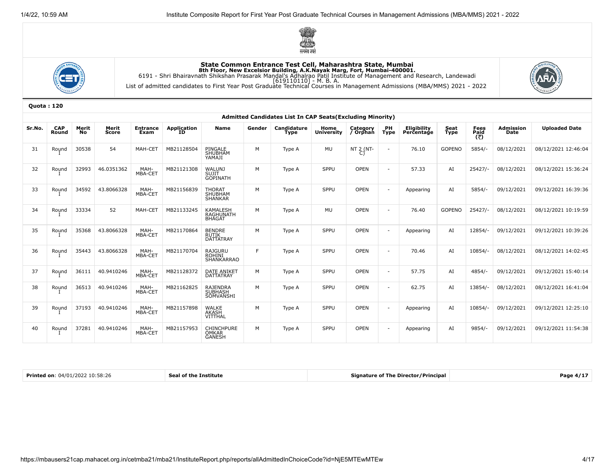





|        |                     |             |                       |                         |                           |                                                      |        | Admitted Candidates List In CAP Seats (Excluding Minority) |                           |                      |                          |                                  |                     |                     |                          |                      |
|--------|---------------------|-------------|-----------------------|-------------------------|---------------------------|------------------------------------------------------|--------|------------------------------------------------------------|---------------------------|----------------------|--------------------------|----------------------------------|---------------------|---------------------|--------------------------|----------------------|
| Sr.No. | <b>CAP</b><br>Round | Merit<br>No | Merit<br><b>Score</b> | <b>Entrance</b><br>Exam | <b>Application</b><br>TD. | <b>Name</b>                                          | Gender | Candidature<br><b>Type</b>                                 | Home<br><b>University</b> | Category<br>/ Orphan | PH<br><b>Type</b>        | <b>Eligibility</b><br>Percentage | Seat<br><b>Type</b> | Fees<br>Paid<br>(₹) | <b>Admission</b><br>Date | <b>Uploaded Date</b> |
| 31     | Round               | 30538       | 54                    | MAH-CET                 | MB21128504                | PINGALE<br>SHUBHAM<br>YAMAJI                         | М      | Type A                                                     | MU                        | NT 2 (NT-            | $\overline{\phantom{a}}$ | 76.10                            | <b>GOPENO</b>       | $5854/-$            | 08/12/2021               | 08/12/2021 12:46:04  |
| 32     | Round               | 32993       | 46.0351362            | MAH-<br>MBA-CET         | MB21121308                | <b>WALUNJ</b><br>SUJIT<br><b>GOPINATH</b>            | M      | Type A                                                     | SPPU                      | <b>OPEN</b>          | $\blacksquare$           | 57.33                            | AI                  | $25427/-$           | 08/12/2021               | 08/12/2021 15:36:24  |
| 33     | Round               | 34592       | 43.8066328            | MAH-<br>MBA-CET         | MB21156839                | THORAT<br>SHUBHAM<br>SHANKAR                         | M      | Type A                                                     | SPPU                      | <b>OPEN</b>          | $\blacksquare$           | Appearing                        | AI                  | $5854/-$            | 09/12/2021               | 09/12/2021 16:39:36  |
| 34     | Round               | 33334       | 52                    | MAH-CET                 | MB21133245                | <b>KAMALESH</b><br><b>RAGHUNATH</b><br><b>BHAGAT</b> | M      | Type A                                                     | MU                        | <b>OPEN</b>          | $\blacksquare$           | 76.40                            | <b>GOPENO</b>       | $25427/-$           | 08/12/2021               | 08/12/2021 10:19:59  |
| 35     | Round               | 35368       | 43.8066328            | MAH-<br>MBA-CET         | MB21170864                | <b>BENDRE</b><br><b>RUTIK</b><br><b>DATTATRAY</b>    | M      | Type A                                                     | SPPU                      | <b>OPEN</b>          | $\overline{\phantom{a}}$ | Appearing                        | AI                  | 12854/-             | 09/12/2021               | 09/12/2021 10:39:26  |
| 36     | Round               | 35443       | 43.8066328            | MAH-<br>MBA-CET         | MB21170704                | RAJGURU<br><b>ROHINI</b><br><b>SHANKARRAO</b>        | E      | Type A                                                     | SPPU                      | <b>OPEN</b>          | $\blacksquare$           | 70.46                            | AI                  | 10854/-             | 08/12/2021               | 08/12/2021 14:02:45  |
| 37     | Round               | 36111       | 40.9410246            | MAH-<br>MBA-CET         | MB21128372                | <b>DATE ANIKET</b><br><b>DATTATRAY</b>               | M      | Type A                                                     | SPPU                      | <b>OPEN</b>          | $\overline{\phantom{a}}$ | 57.75                            | AI                  | 4854/               | 09/12/2021               | 09/12/2021 15:40:14  |
| 38     | Round               | 36513       | 40.9410246            | MAH-<br>MBA-CET         | MB21162825                | RAJENDRA<br><b>SUBHASH</b><br>SOMVANSHI              | M      | Type A                                                     | SPPU                      | <b>OPEN</b>          | $\overline{\phantom{a}}$ | 62.75                            | AI                  | 13854/-             | 08/12/2021               | 08/12/2021 16:41:04  |
| 39     | Round               | 37193       | 40.9410246            | MAH-<br>MBA-CET         | MB21157898                | WALKE<br>AKASH<br>VITTHAL                            | M      | Type A                                                     | SPPU                      | <b>OPEN</b>          | $\overline{\phantom{a}}$ | Appearing                        | AI                  | 10854/-             | 09/12/2021               | 09/12/2021 12:25:10  |
| 40     | Round               | 37281       | 40.9410246            | MAH-<br>MBA-CET         | MB21157953                | CHINCHPURE<br>OMKAR<br><b>GANESH</b>                 | М      | Type A                                                     | SPPU                      | <b>OPEN</b>          | $\overline{\phantom{a}}$ | Appearing                        | AI                  | $9854/-$            | 09/12/2021               | 09/12/2021 11:54:38  |

| <b>Printe</b><br>כחכי<br>74/01<br>on:<br>10.30.40 | c.<br>1 пе<br>тпғ | $\overline{\phantom{a}}$<br>ector/Principal<br>Signature of T<br>68 I J | .<br>Page 4/ |
|---------------------------------------------------|-------------------|-------------------------------------------------------------------------|--------------|
|                                                   |                   |                                                                         |              |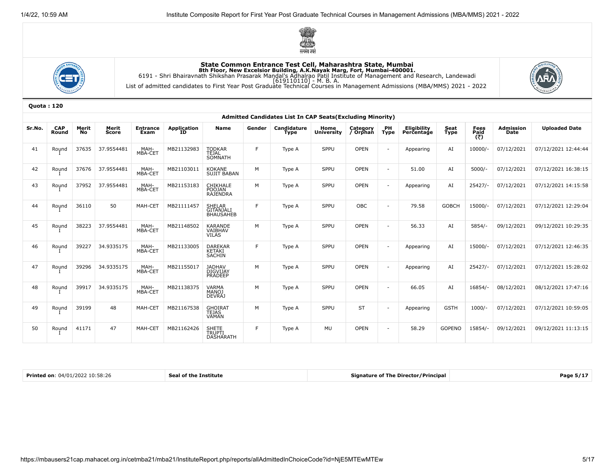





|        | Admitted Candidates List In CAP Seats (Excluding Minority) |             |                |                         |                          |                                         |        |                            |                           |                      |                          |                           |               |                     |                          |                      |
|--------|------------------------------------------------------------|-------------|----------------|-------------------------|--------------------------|-----------------------------------------|--------|----------------------------|---------------------------|----------------------|--------------------------|---------------------------|---------------|---------------------|--------------------------|----------------------|
| Sr.No. | <b>CAP</b><br>Round                                        | Merit<br>No | Merit<br>Score | <b>Entrance</b><br>Exam | <b>Application</b><br>ID | <b>Name</b>                             | Gender | Candidature<br><b>Type</b> | Home<br><b>University</b> | Category<br>/ Orphan | PH<br><b>Type</b>        | Eligibility<br>Percentage | Seat<br>Type  | Fees<br>Paid<br>(₹) | <b>Admission</b><br>Date | <b>Uploaded Date</b> |
| 41     | Round                                                      | 37635       | 37.9554481     | MAH-<br>MBA-CET         | MB21132983               | TODKAR<br>TEJAL<br><b>SOMNATH</b>       | E      | Type A                     | SPPU                      | <b>OPEN</b>          | $\sim$                   | Appearing                 | AI            | 10000/              | 07/12/2021               | 07/12/2021 12:44:44  |
| 42     | Round                                                      | 37676       | 37.9554481     | MAH-<br>MBA-CET         | MB21103011               | <b>KOKANE</b><br><b>SUJIT BABAN</b>     | M      | Type A                     | SPPU                      | <b>OPEN</b>          | $\overline{\phantom{a}}$ | 51.00                     | AI            | $5000/-$            | 07/12/2021               | 07/12/2021 16:38:15  |
| 43     | Round                                                      | 37952       | 37.9554481     | MAH-<br>MBA-CET         | MB21153183               | CHIKHALE<br><b>POOJAN</b><br>RAJENDRA   | M      | Type A                     | SPPU                      | <b>OPEN</b>          | $\sim$                   | Appearing                 | AI            | 25427/-             | 07/12/2021               | 07/12/2021 14:15:58  |
| 44     | Round                                                      | 36110       | 50             | MAH-CET                 | MB21111457               | SHELAR<br>GITANJALI<br>BHAUSAHEB        | F      | Type A                     | SPPU                      | OBC                  | $\sim$                   | 79.58                     | <b>GOBCH</b>  | 15000/-             | 07/12/2021               | 07/12/2021 12:29:04  |
| 45     | Round                                                      | 38223       | 37.9554481     | MAH-<br>MBA-CET         | MB21148502               | KARANDE<br>VAIBHAV<br><b>VILAS</b>      | M      | Type A                     | SPPU                      | <b>OPEN</b>          | $\overline{a}$           | 56.33                     | AI            | $5854/-$            | 09/12/2021               | 09/12/2021 10:29:35  |
| 46     | Round                                                      | 39227       | 34.9335175     | MAH-<br>MBA-CET         | MB21133005               | <b>DAREKAR</b><br>KETAKI<br>SACHIN      | F.     | Type A                     | SPPU                      | <b>OPEN</b>          | $\sim$                   | Appearing                 | AI            | 15000/-             | 07/12/2021               | 07/12/2021 12:46:35  |
| 47     | Round                                                      | 39296       | 34.9335175     | MAH-<br>MBA-CET         | MB21155017               | JADHAV<br>DIGVIJAY<br>PRADEEP           | м      | Type A                     | SPPU                      | <b>OPEN</b>          | $\sim$                   | Appearing                 | AI            | $25427/-$           | 07/12/2021               | 07/12/2021 15:28:02  |
| 48     | Round                                                      | 39917       | 34.9335175     | MAH-<br>MBA-CET         | MB21138375               | VARMA<br>MANOJ<br><b>DEVRAJ</b>         | M      | Type A                     | SPPU                      | <b>OPEN</b>          | $\overline{\phantom{a}}$ | 66.05                     | AI            | 16854/-             | 08/12/2021               | 08/12/2021 17:47:16  |
| 49     | Round                                                      | 39199       | 48             | MAH-CET                 | MB21167538               | <b>GHOIRAT</b><br><b>TEJAS</b><br>VAMAN | M      | Type A                     | SPPU                      | <b>ST</b>            | $\sim$                   | Appearing                 | <b>GSTH</b>   | 1000/               | 07/12/2021               | 07/12/2021 10:59:05  |
| 50     | Round                                                      | 41171       | 47             | MAH-CET                 | MB21162426               | SHETE<br>TRUPTI<br><b>DASHARATH</b>     | E      | Type A                     | MU                        | <b>OPEN</b>          | $\sim$                   | 58.29                     | <b>GOPENO</b> | 15854/-             | 09/12/2021               | 09/12/2021 11:13:15  |

| <b>Printe</b><br>74/01<br>ワロン<br>on<br>58:Zb | с.<br>тпе | <sup></sup> /Principa<br>Dire<br>ີາ†ure ∩t .<br>:tor/<br>l ne | 'аое<br>. |
|----------------------------------------------|-----------|---------------------------------------------------------------|-----------|
|                                              |           |                                                               |           |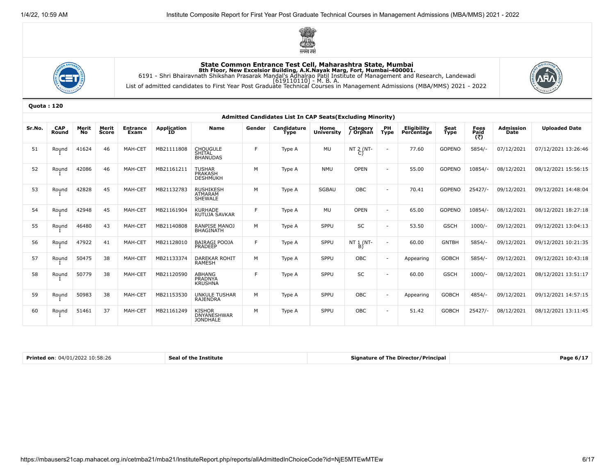





|        | <b>Admitted Candidates List In CAP Seats (Excluding Minority)</b> |                    |                |                         |                          |                                              |        |                            |                           |                      |                          |                           |               |                             |                                 |                      |
|--------|-------------------------------------------------------------------|--------------------|----------------|-------------------------|--------------------------|----------------------------------------------|--------|----------------------------|---------------------------|----------------------|--------------------------|---------------------------|---------------|-----------------------------|---------------------------------|----------------------|
| Sr.No. | <b>CAP</b><br>Round                                               | Merit<br><b>No</b> | Merit<br>Score | <b>Entrance</b><br>Exam | <b>Application</b><br>ÏĎ | <b>Name</b>                                  | Gender | Candidature<br><b>Type</b> | Home<br><b>University</b> | Category<br>/ Orphan | PH<br><b>Type</b>        | Eligibility<br>Percentage | Seat<br>Type  | <b>Fees<br/>Paid</b><br>(₹) | <b>Admission</b><br><b>Date</b> | <b>Uploaded Date</b> |
| 51     | Round                                                             | 41624              | 46             | MAH-CET                 | MB21111808               | <b>CHOUGULE</b><br>SHITAL<br><b>BHANUDAS</b> | F      | Type A                     | <b>MU</b>                 | NT 2 (NT-            | $\sim$                   | 77.60                     | <b>GOPENO</b> | 5854/                       | 07/12/2021                      | 07/12/2021 13:26:46  |
| 52     | Round                                                             | 42086              | 46             | MAH-CET                 | MB21161211               | TUSHAR<br>PRAKASH<br><b>DESHMUKH</b>         | м      | Type A                     | <b>NMU</b>                | OPEN                 | $\overline{\phantom{a}}$ | 55.00                     | <b>GOPENO</b> | 10854/-                     | 08/12/2021                      | 08/12/2021 15:56:15  |
| 53     | Round                                                             | 42828              | 45             | MAH-CET                 | MB21132783               | <b>RUSHIKESH</b><br>ATMARAM<br>SHEWALE       | M      | Type A                     | <b>SGBAU</b>              | OBC                  | $\overline{\phantom{a}}$ | 70.41                     | <b>GOPENO</b> | $25427/-$                   | 09/12/2021                      | 09/12/2021 14:48:04  |
| 54     | Round                                                             | 42948              | 45             | MAH-CET                 | MB21161904               | <b>KURHADE</b><br>RUTUJA SAVKAR              | E      | Type A                     | <b>MU</b>                 | <b>OPEN</b>          | $\overline{\phantom{a}}$ | 65.00                     | <b>GOPENO</b> | 10854/-                     | 08/12/2021                      | 08/12/2021 18:27:18  |
| 55     | Round                                                             | 46480              | 43             | MAH-CET                 | MB21140808               | RANPISE MANOJ<br><b>BHAGINATH</b>            | M      | Type A                     | SPPU                      | SC                   | $\overline{\phantom{a}}$ | 53.50                     | <b>GSCH</b>   | $1000/-$                    | 09/12/2021                      | 09/12/2021 13:04:13  |
| 56     | Round                                                             | 47922              | 41             | MAH-CET                 | MB21128010               | <b>BAIRAGI POOJA</b><br>PRADEEP              | F.     | Type A                     | SPPU                      | NT 1 (NT-<br>B)      |                          | 60.00                     | <b>GNTBH</b>  | 5854/                       | 09/12/2021                      | 09/12/2021 10:21:35  |
| 57     | Round                                                             | 50475              | 38             | MAH-CET                 | MB21133374               | DAREKAR ROHIT<br>RAMESH                      | M      | Type A                     | SPPU                      | <b>OBC</b>           | $\sim$                   | Appearing                 | <b>GOBCH</b>  | 5854/-                      | 09/12/2021                      | 09/12/2021 10:43:18  |
| 58     | Round                                                             | 50779              | 38             | MAH-CET                 | MB21120590               | ABHANG<br>PRADNYA<br><b>KRUSHNA</b>          | E      | Type A                     | SPPU                      | <b>SC</b>            |                          | 60.00                     | <b>GSCH</b>   | $1000/-$                    | 08/12/2021                      | 08/12/2021 13:51:17  |
| 59     | Round                                                             | 50983              | 38             | MAH-CET                 | MB21153530               | <b>UNKULE TUSHAR</b><br><b>RAJENDRA</b>      | M      | Type A                     | SPPU                      | <b>OBC</b>           | $\sim$                   | Appearing                 | <b>GOBCH</b>  | 4854/-                      | 09/12/2021                      | 09/12/2021 14:57:15  |
| 60     | Round                                                             | 51461              | 37             | MAH-CET                 | MB21161249               | KISHOR<br>DNYANESHWAR<br><b>JONDHALE</b>     | M      | Type A                     | SPPU                      | OBC                  | $\overline{\phantom{a}}$ | 51.42                     | <b>GOBCH</b>  | $25427/-$                   | 08/12/2021                      | 08/12/2021 13:11:45  |

| Printed on:<br>$04/01/2022$ 10:58:26 | f the Institute<br>$-1$ | <b>Signature of The Director/Principa</b> | Page 671.<br>ю. |
|--------------------------------------|-------------------------|-------------------------------------------|-----------------|
|--------------------------------------|-------------------------|-------------------------------------------|-----------------|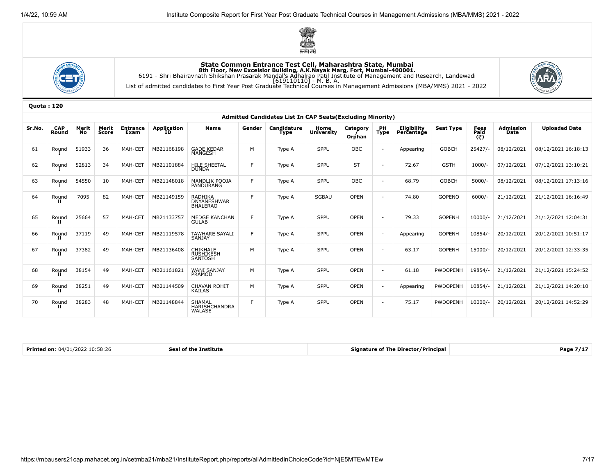





|        |                     |                    |                |                         |                          |                                                  |        | Admitted Candidates List In CAP Seats (Excluding Minority) |                           |                    |                   |                                  |                  |                     |                                 |                      |
|--------|---------------------|--------------------|----------------|-------------------------|--------------------------|--------------------------------------------------|--------|------------------------------------------------------------|---------------------------|--------------------|-------------------|----------------------------------|------------------|---------------------|---------------------------------|----------------------|
| Sr.No. | <b>CAP</b><br>Round | Merit<br><b>No</b> | Merit<br>Score | <b>Entrance</b><br>Exam | <b>Application</b><br>ID | <b>Name</b>                                      | Gender | Candidature<br><b>Type</b>                                 | Home<br><b>University</b> | Category<br>Orphan | PH<br><b>Type</b> | <b>Eligibility</b><br>Percentage | <b>Seat Type</b> | Fees<br>Paid<br>(₹) | <b>Admission</b><br><b>Date</b> | <b>Uploaded Date</b> |
| 61     | Round               | 51933              | 36             | MAH-CET                 | MB21168198               | <b>GADE KEDAR</b><br><b>MANGESH</b>              | M      | Type A                                                     | SPPU                      | OBC                | $\sim$            | Appearing                        | <b>GOBCH</b>     | $25427/-$           | 08/12/2021                      | 08/12/2021 16:18:13  |
| 62     | Round               | 52813              | 34             | MAH-CET                 | MB21101884               | <b>HILE SHEETAL</b><br><b>DUNDA</b>              | F.     | Type A                                                     | SPPU                      | <b>ST</b>          | $\sim$            | 72.67                            | <b>GSTH</b>      | 1000/               | 07/12/2021                      | 07/12/2021 13:10:21  |
| 63     | Round               | 54550              | 10             | MAH-CET                 | MB21148018               | MANDLIK POOJA<br>PANDURANG                       | F.     | Type A                                                     | SPPU                      | OBC                | $\sim$            | 68.79                            | <b>GOBCH</b>     | 5000/               | 08/12/2021                      | 08/12/2021 17:13:16  |
| 64     | Round               | 7095               | 82             | MAH-CET                 | MB21149159               | RADHIKA<br><b>DNYANESHWAR</b><br><b>BHALERAO</b> | F.     | Type A                                                     | <b>SGBAU</b>              | OPEN               | $\sim$            | 74.80                            | <b>GOPENO</b>    | $6000/-$            | 21/12/2021                      | 21/12/2021 16:16:49  |
| 65     | Round<br>и          | 25664              | 57             | MAH-CET                 | MB21133757               | <b>MEDGE KANCHAN</b><br><b>GULAB</b>             | F.     | Type A                                                     | SPPU                      | OPEN               | $\sim$            | 79.33                            | <b>GOPENH</b>    | $10000/-$           | 21/12/2021                      | 21/12/2021 12:04:31  |
| 66     | Round<br>п          | 37119              | 49             | MAH-CET                 | MB21119578               | <b>TAWHARE SAYALI</b><br>SANJAY                  | F.     | Type A                                                     | SPPU                      | <b>OPEN</b>        | $\sim$            | Appearing                        | <b>GOPENH</b>    | 10854/-             | 20/12/2021                      | 20/12/2021 10:51:17  |
| 67     | Round               | 37382              | 49             | MAH-CET                 | MB21136408               | CHIKHALE<br>RUSHIKESH<br>SANTOSH                 | M      | Type A                                                     | SPPU                      | OPEN               | $\sim$            | 63.17                            | <b>GOPENH</b>    | 15000/-             | 20/12/2021                      | 20/12/2021 12:33:35  |
| 68     | Round<br>Н          | 38154              | 49             | MAH-CET                 | MB21161821               | <b>WANI SANJAY</b><br>PRAMOD                     | M      | Type A                                                     | SPPU                      | <b>OPEN</b>        | $\sim$            | 61.18                            | <b>PWDOPENH</b>  | 19854/-             | 21/12/2021                      | 21/12/2021 15:24:52  |
| 69     | Round               | 38251              | 49             | MAH-CET                 | MB21144509               | <b>CHAVAN ROHIT</b><br><b>KAILAS</b>             | M      | Type A                                                     | SPPU                      | <b>OPEN</b>        | $\sim$            | Appearing                        | <b>PWDOPENH</b>  | 10854/-             | 21/12/2021                      | 21/12/2021 14:20:10  |
| 70     | Round               | 38283              | 48             | MAH-CET                 | MB21148844               | <b>SHAMAL</b><br><b>HARISHCHANDRA</b><br>WALASE  | F.     | Type A                                                     | SPPU                      | <b>OPEN</b>        | $\sim$            | 75.17                            | <b>PWDOPENH</b>  | 10000/-             | 20/12/2021                      | 20/12/2021 14:52:29  |

| Printed on: 04/01/2022 10:58:26 | <b>Seal of the Institute</b> | <b>Signature of The Director/Principal</b> | Page 7/17 |
|---------------------------------|------------------------------|--------------------------------------------|-----------|
|                                 |                              |                                            |           |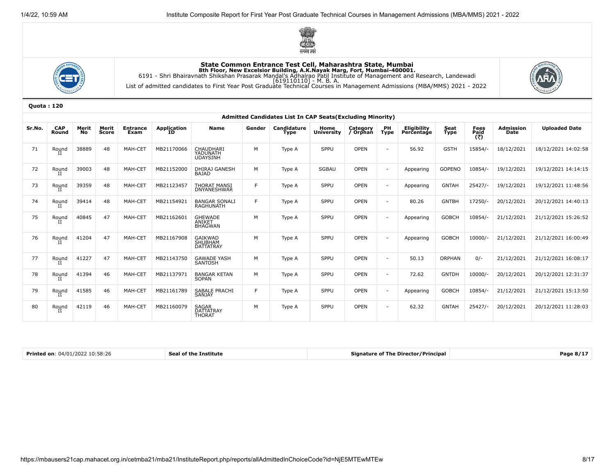





|        |                     |                    |                |                         |                   |                                            |        | Admitted Candidates List In CAP Seats (Excluding Minority) |                           |                      |                          |                                  |                     |                     |                          |                      |
|--------|---------------------|--------------------|----------------|-------------------------|-------------------|--------------------------------------------|--------|------------------------------------------------------------|---------------------------|----------------------|--------------------------|----------------------------------|---------------------|---------------------|--------------------------|----------------------|
| Sr.No. | <b>CAP</b><br>Round | Merit<br><b>No</b> | Merit<br>Score | <b>Entrance</b><br>Exam | Application<br>ID | <b>Name</b>                                | Gender | Candidature<br>Type                                        | Home<br><b>University</b> | Category<br>/ Orphan | <b>PH</b><br><b>Type</b> | <b>Eligibility</b><br>Percentage | <b>Seat</b><br>Type | Fees<br>Paid<br>(₹) | <b>Admission</b><br>Date | <b>Uploaded Date</b> |
| 71     | Round               | 38889              | 48             | MAH-CET                 | MB21170066        | CHAUDHARI<br>YADUNATH                      | M      | Type A                                                     | SPPU                      | <b>OPEN</b>          | $\overline{\phantom{a}}$ | 56.92                            | <b>GSTH</b>         | 15854/              | 18/12/2021               | 18/12/2021 14:02:58  |
| 72     | Round               | 39003              | 48             | MAH-CET                 | MB21152000        | <b>DHIRAJ GANESH</b><br><b>BAJAD</b>       | M      | Type A                                                     | SGBAU                     | <b>OPEN</b>          | $\sim$                   | Appearing                        | <b>GOPENO</b>       | 10854/-             | 19/12/2021               | 19/12/2021 14:14:15  |
| 73     | Round               | 39359              | 48             | MAH-CE1                 | MB21123457        | <b>THORAT MANSI</b><br><b>DNYANESHWAR</b>  | F.     | Type A                                                     | SPPU                      | <b>OPEN</b>          | $\sim$                   | Appearing                        | <b>GNTAH</b>        | 25427/              | 19/12/2021               | 19/12/2021 11:48:56  |
| 74     | Round               | 39414              | 48             | MAH-CE1                 | MB21154921        | <b>BANGAR SONALI</b><br>RAGHUNATH          | F.     | Type A                                                     | SPPU                      | <b>OPEN</b>          | $\overline{\phantom{a}}$ | 80.26                            | <b>GNTBH</b>        | 17250/-             | 20/12/2021               | 20/12/2021 14:40:13  |
| 75     | Round               | 40845              | 47             | MAH-CET                 | MB21162601        | <b>GHEWADE</b><br>ANIKET<br><b>BHAGWAN</b> | M      | Type A                                                     | SPPU                      | <b>OPEN</b>          | $\sim$                   | Appearing                        | <b>GOBCH</b>        | 10854/-             | 21/12/2021               | 21/12/2021 15:26:52  |
| 76     | Round               | 41204              | 47             | MAH-CET                 | MB21167908        | GAIKWAD<br>SHUBHAM<br>DATTATRAY            | M      | Type A                                                     | SPPU                      | <b>OPEN</b>          | $\sim$                   | Appearing                        | <b>GOBCH</b>        | $10000/-$           | 21/12/2021               | 21/12/2021 16:00:49  |
| 77     | Round               | 41227              | 47             | MAH-CET                 | MB21143750        | <b>GAWADE YASH</b><br><b>SANTOSH</b>       | M      | Type A                                                     | SPPU                      | <b>OPEN</b>          | $\sim$                   | 50.13                            | ORPHAN              | $0/-$               | 21/12/2021               | 21/12/2021 16:08:17  |
| 78     | Round<br>II         | 41394              | 46             | MAH-CET                 | MB21137971        | BANGAR KETAN<br>SOPAN                      | M      | Type A                                                     | SPPU                      | <b>OPEN</b>          | $\sim$                   | 72.62                            | <b>GNTDH</b>        | 10000/-             | 20/12/2021               | 20/12/2021 12:31:37  |
| 79     | Round               | 41585              | 46             | MAH-CET                 | MB21161789        | SABALE PRACHI<br>SANJAY                    | F.     | Type A                                                     | SPPU                      | <b>OPEN</b>          | $\sim$                   | Appearing                        | <b>GOBCH</b>        | 10854/-             | 21/12/2021               | 21/12/2021 15:13:50  |
| 80     | Round               | 42119              | 46             | MAH-CET                 | MB21160079        | <b>SAGAR</b><br>DATTATRAY<br><b>THORAT</b> | M      | Type A                                                     | SPPU                      | <b>OPEN</b>          | $\overline{\phantom{a}}$ | 62.32                            | <b>GNTAH</b>        | $25427/-$           | 20/12/2021               | 20/12/2021 11:28:03  |

| 0.4/01/202<br>! 10:58:26<br>$\blacksquare$ Printed on: $\lhd$<br><b>Institute</b><br>Sea<br>of the<br>the contract of the contract of the contract of the contract of the contract of the contract of the contract of | <b>Signature of The Director/Principal</b> | . <i>.</i><br>Page 87. |
|-----------------------------------------------------------------------------------------------------------------------------------------------------------------------------------------------------------------------|--------------------------------------------|------------------------|
|-----------------------------------------------------------------------------------------------------------------------------------------------------------------------------------------------------------------------|--------------------------------------------|------------------------|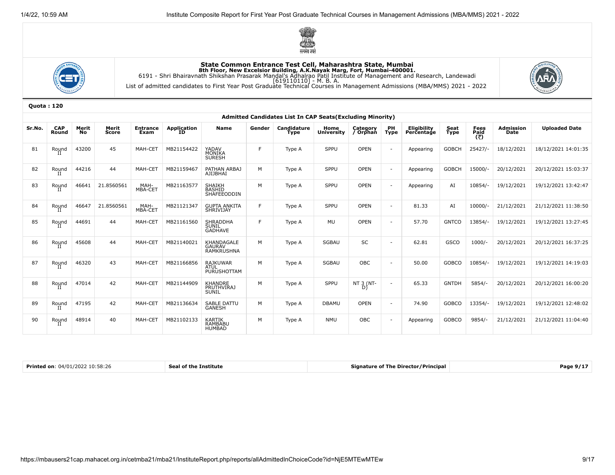





|        |                     |             |                |                         |                           |                                               |        | Admitted Candidates List In CAP Seats (Excluding Minority) |                           |                      |                          |                                  |                     |                     |                          |                      |
|--------|---------------------|-------------|----------------|-------------------------|---------------------------|-----------------------------------------------|--------|------------------------------------------------------------|---------------------------|----------------------|--------------------------|----------------------------------|---------------------|---------------------|--------------------------|----------------------|
| Sr.No. | <b>CAP</b><br>Round | Merit<br>No | Merit<br>Score | <b>Entrance</b><br>Exam | <b>Application</b><br>TD. | <b>Name</b>                                   | Gender | <b>Candidature</b><br><b>Type</b>                          | Home<br><b>University</b> | Category<br>/ Orphan | PH<br><b>Type</b>        | <b>Eligibility</b><br>Percentage | Seat<br><b>Type</b> | Fees<br>Paid<br>(き) | <b>Admission</b><br>Date | <b>Uploaded Date</b> |
| 81     | Round               | 43200       | 45             | MAH-CET                 | MB21154422                | YADAV<br>MONIKA<br>SURESH                     | E      | Type A                                                     | SPPU                      | OPEN                 | $\sim$                   | Appearing                        | <b>GOBCH</b>        | $25427/-$           | 18/12/2021               | 18/12/2021 14:01:35  |
| 82     | Round<br>П          | 44216       | 44             | MAH-CET                 | MB21159467                | PATHAN ARBAJ<br>AJIJBHAI                      | M      | Type A                                                     | SPPU                      | OPEN                 | $\sim$                   | Appearing                        | <b>GOBCH</b>        | 15000/              | 20/12/2021               | 20/12/2021 15:03:37  |
| 83     | Round<br>П          | 46641       | 21.8560561     | MAH-<br>MBA-CET         | MB21163577                | SHAIKH<br>BASHID<br>SHAFEEODDIN               | M      | Type A                                                     | SPPU                      | <b>OPEN</b>          | $\blacksquare$           | Appearing                        | AI                  | 10854/-             | 19/12/2021               | 19/12/2021 13:42:47  |
| 84     | Round<br>П          | 46647       | 21.8560561     | MAH-<br>MBA-CET         | MB21121347                | GUPTA ANKITA<br>SHRIVIJAY                     | F      | Type A                                                     | <b>SPPU</b>               | OPEN                 | ٠                        | 81.33                            | AI                  | $10000/-$           | 21/12/2021               | 21/12/2021 11:38:50  |
| 85     | Round<br>П          | 44691       | 44             | MAH-CET                 | MB21161560                | <b>SHRADDHA</b><br>SUNIL<br><b>GADHAVE</b>    | F.     | Type A                                                     | <b>MU</b>                 | <b>OPEN</b>          | $\overline{a}$           | 57.70                            | <b>GNTCO</b>        | 13854/-             | 19/12/2021               | 19/12/2021 13:27:45  |
| 86     | Round<br>П          | 45608       | 44             | MAH-CET                 | MB21140021                | KHANDAGALE<br><b>GAURAV</b><br>RAMKRUSHNA     | M      | Type A                                                     | <b>SGBAU</b>              | SC                   | $\blacksquare$           | 62.81                            | <b>GSCO</b>         | $1000/-$            | 20/12/2021               | 20/12/2021 16:37:25  |
| 87     | Round<br>П          | 46320       | 43             | MAH-CET                 | MB21166856                | <b>RAJKUWAR</b><br><b>ATUL</b><br>PURUSHOTTAM | M      | Type A                                                     | <b>SGBAU</b>              | OBC                  | $\sim$                   | 50.00                            | <b>GOBCO</b>        | 10854/-             | 19/12/2021               | 19/12/2021 14:19:03  |
| 88     | Round<br>Н          | 47014       | 42             | MAH-CET                 | MB21144909                | <b>KHANDRE</b><br><b>PRUTHVIRAJ</b><br>SUNIL  | M      | Type A                                                     | SPPU                      | NT 3 (NT-<br>Dì      | $\overline{a}$           | 65.33                            | <b>GNTDH</b>        | $5854/-$            | 20/12/2021               | 20/12/2021 16:00:20  |
| 89     | Round<br>Н          | 47195       | 42             | MAH-CET                 | MB21136634                | <b>SABLE DATTU</b><br><b>GANESH</b>           | M      | Type A                                                     | <b>DBAMU</b>              | <b>OPEN</b>          | $\sim$                   | 74.90                            | <b>GOBCO</b>        | 13354/-             | 19/12/2021               | 19/12/2021 12:48:02  |
| 90     | Round<br>п          | 48914       | 40             | MAH-CET                 | MB21102133                | KARTIK<br>RAMBABU<br><b>HUMBAD</b>            | M      | Type A                                                     | <b>NMU</b>                | OBC                  | $\overline{\phantom{a}}$ | Appearing                        | <b>GOBCO</b>        | 9854/               | 21/12/2021               | 21/12/2021 11:04:40  |

| Printed on: $04/01/2022$ $10:58:26$ | <b>Seal of the Institute</b> | Signature of The Director/Principal | Page 9/1 |
|-------------------------------------|------------------------------|-------------------------------------|----------|
|                                     |                              |                                     |          |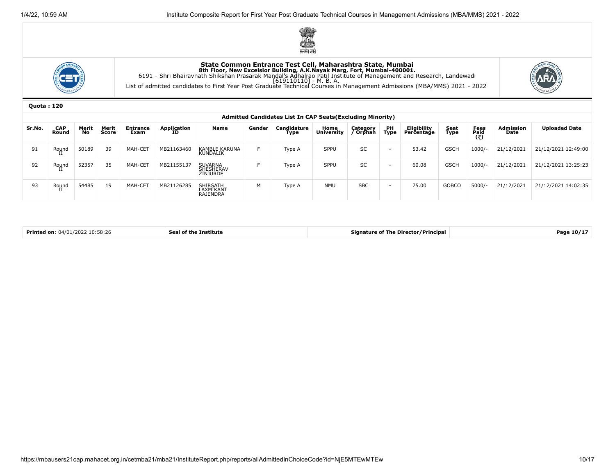





|        | Admitted Candidates List In CAP Seats (Excluding Minority) |                    |                |                         |                   |                                                |        |                     |                           |                      |                          |                           |              |              |                          |                      |
|--------|------------------------------------------------------------|--------------------|----------------|-------------------------|-------------------|------------------------------------------------|--------|---------------------|---------------------------|----------------------|--------------------------|---------------------------|--------------|--------------|--------------------------|----------------------|
| Sr.No. | CAP<br>Round                                               | Merit<br><b>No</b> | Merit<br>Score | <b>Entrance</b><br>Exam | Application<br>ID | <b>Name</b>                                    | Gender | Candidature<br>Type | Home<br><b>University</b> | Category<br>' Orphan | PH<br><b>Type</b>        | Eligibility<br>Percentage | Seat<br>Type | Fees<br>Paid | <b>Admission</b><br>Date | <b>Uploaded Date</b> |
| 91     | Round                                                      | 50189              | 39             | MAH-CET                 | MB21163460        | KAMBLE KARUNA<br>KUNDALIK                      |        | Type A              | SPPU                      | <b>SC</b>            | $\overline{\phantom{0}}$ | 53.42                     | <b>GSCH</b>  | $1000/-$     | 21/12/2021               | 21/12/2021 12:49:00  |
| 92     | Round                                                      | 52357              | 35             | MAH-CET                 | MB21155137        | <b>SUVARNA</b><br>SHESHERAV<br><b>ZINJURDE</b> |        | Type A              | SPPU                      | <b>SC</b>            | $\overline{\phantom{a}}$ | 60.08                     | <b>GSCH</b>  | $1000/-$     | 21/12/2021               | 21/12/2021 13:25:23  |
| 93     | Round                                                      | 54485              | 19             | MAH-CET                 | MB21126285        | <b>SHIRSATH</b><br>LAXMIKANT<br>RAJENDRA       | м      | Type A              | <b>NMU</b>                | <b>SBC</b>           | $\overline{\phantom{0}}$ | 75.00                     | <b>GOBCO</b> | $5000/-$     | 21/12/2021               | 21/12/2021 14:02:35  |

| Printed on: $04/01/2022$ 10:58:26<br><b>Signature of The Director/Principal</b><br><b>Seal of the Institute</b> |  |  |  | Page 10/17 |
|-----------------------------------------------------------------------------------------------------------------|--|--|--|------------|
|-----------------------------------------------------------------------------------------------------------------|--|--|--|------------|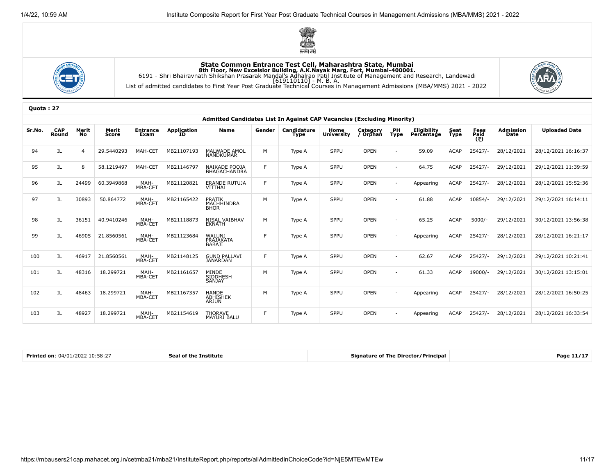





|        | Admitted Candidates List In Against CAP Vacancies (Excluding Minority) |                |                |                         |                          |                                          |        |                     |                           |                      |                   |                                  |                     |                     |                          |                      |
|--------|------------------------------------------------------------------------|----------------|----------------|-------------------------|--------------------------|------------------------------------------|--------|---------------------|---------------------------|----------------------|-------------------|----------------------------------|---------------------|---------------------|--------------------------|----------------------|
| Sr.No. | <b>CAP</b><br>Round                                                    | Merit<br>No.   | Merit<br>Score | <b>Entrance</b><br>Exam | <b>Application</b><br>ID | <b>Name</b>                              | Gender | Candidature<br>Type | Home<br><b>University</b> | Category<br>/ Orphan | PH<br><b>Type</b> | <b>Eligibility</b><br>Percentage | Seat<br><b>Type</b> | Fees<br>Paid<br>(₹) | <b>Admission</b><br>Date | <b>Uploaded Date</b> |
| 94     | IL                                                                     | $\overline{4}$ | 29.5440293     | MAH-CET                 | MB21107193               | <b>MALWADE AMOL</b><br><b>NANDKUMAR</b>  | M      | Type A              | SPPU                      | <b>OPEN</b>          | $\sim$            | 59.09                            | <b>ACAP</b>         | $25427/-$           | 28/12/2021               | 28/12/2021 16:16:37  |
| 95     | IL                                                                     | 8              | 58.1219497     | MAH-CET                 | MB21146797               | NAIKADE POOJA<br><b>BHAGACHANDRA</b>     | F.     | Type A              | SPPU                      | OPEN                 | $\overline{a}$    | 64.75                            | <b>ACAP</b>         | $25427/-$           | 29/12/2021               | 29/12/2021 11:39:59  |
| 96     | IL                                                                     | 24499          | 60.3949868     | MAH-<br>MBA-CET         | MB21120821               | ERANDE RUTUJA<br>VITTHAL                 | F.     | Type A              | SPPU                      | <b>OPEN</b>          |                   | Appearing                        | <b>ACAP</b>         | $25427/-$           | 28/12/2021               | 28/12/2021 15:52:36  |
| 97     | IL                                                                     | 30893          | 50.864772      | MAH-<br>MBA-CET         | MB21165422               | PRATIK<br>MACHHINDRA<br><b>BHOR</b>      | M      | Type A              | SPPU                      | <b>OPEN</b>          | $\sim$            | 61.88                            | <b>ACAP</b>         | 10854/-             | 29/12/2021               | 29/12/2021 16:14:11  |
| 98     | IL                                                                     | 36151          | 40.9410246     | MAH-<br>MBA-CET         | MB21118873               | <b>NISAL VAIBHAV</b><br><b>EKNATH</b>    | M      | Type A              | SPPU                      | <b>OPEN</b>          | $\overline{a}$    | 65.25                            | <b>ACAP</b>         | $5000/-$            | 29/12/2021               | 30/12/2021 13:56:38  |
| 99     | IL                                                                     | 46905          | 21.8560561     | MAH-<br>MBA-CET         | MB21123684               | WALUNJ<br>PRAJAKATA<br>BABAJI            | F      | Type A              | SPPU                      | <b>OPEN</b>          |                   | Appearing                        | <b>ACAP</b>         | $25427/-$           | 28/12/2021               | 28/12/2021 16:21:17  |
| 100    | IL                                                                     | 46917          | 21.8560561     | MAH-<br>MBA-CET         | MB21148125               | <b>GUND PALLAVI</b><br><b>JANARDAN</b>   | F      | Type A              | SPPU                      | <b>OPEN</b>          | $\sim$            | 62.67                            | <b>ACAP</b>         | $25427/-$           | 29/12/2021               | 29/12/2021 10:21:41  |
| 101    | IL                                                                     | 48316          | 18.299721      | MAH-<br>MBA-CET         | MB21161657               | MINDE<br>SIDDHESH<br><b>SANJAY</b>       | M      | Type A              | SPPU                      | <b>OPEN</b>          | $\sim$            | 61.33                            | <b>ACAP</b>         | 19000/-             | 29/12/2021               | 30/12/2021 13:15:01  |
| 102    | IL                                                                     | 48463          | 18.299721      | MAH-<br>MBA-CET         | MB21167357               | <b>HANDE</b><br><b>ABHISHEK</b><br>ARJUN | M      | Type A              | SPPU                      | <b>OPEN</b>          | $\overline{a}$    | Appearing                        | <b>ACAP</b>         | $25427/-$           | 28/12/2021               | 28/12/2021 16:50:25  |
| 103    | IL                                                                     | 48927          | 18.299721      | MAH-<br>MBA-CET         | MB21154619               | <b>THORAVE</b><br><b>MAYURI BALU</b>     | F.     | Type A              | SPPU                      | <b>OPEN</b>          |                   | Appearing                        | <b>ACAP</b>         | $25427/-$           | 28/12/2021               | 28/12/2021 16:33:54  |

| 7:58:2<br><b>Printed on</b><br><b>111.</b> | Institute<br>. от | - / Principal<br>: Directoı<br>ianature of<br>- I Ne | Pag |
|--------------------------------------------|-------------------|------------------------------------------------------|-----|
|--------------------------------------------|-------------------|------------------------------------------------------|-----|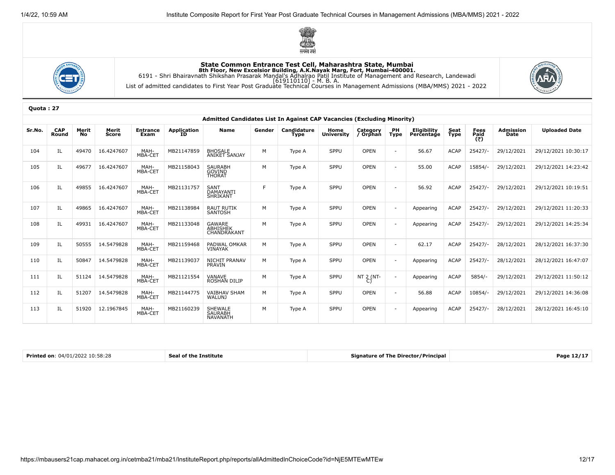





|        | Admitted Candidates List In Against CAP Vacancies (Excluding Minority) |                    |                |                         |                          |                                             |        |                     |                           |                      |            |                           |              |                     |                          |                      |
|--------|------------------------------------------------------------------------|--------------------|----------------|-------------------------|--------------------------|---------------------------------------------|--------|---------------------|---------------------------|----------------------|------------|---------------------------|--------------|---------------------|--------------------------|----------------------|
| Sr.No. | <b>CAP</b><br>Round                                                    | Merit<br><b>No</b> | Merit<br>Score | <b>Entrance</b><br>Exam | <b>Application</b><br>ID | <b>Name</b>                                 | Gender | Candidature<br>Type | Home<br><b>University</b> | Category<br>/ Orphan | PH<br>Type | Eligibility<br>Percentage | Seat<br>Type | Fees<br>Paid<br>(₹) | <b>Admission</b><br>Date | <b>Uploaded Date</b> |
| 104    | IL                                                                     | 49470              | 16.4247607     | MAH-<br>MBA-CET         | MB21147859               | <b>BHOSALE</b><br><b>ANIKET SANJAY</b>      | M      | Type A              | SPPU                      | OPEN                 |            | 56.67                     | <b>ACAP</b>  | $25427/-$           | 29/12/2021               | 29/12/2021 10:30:17  |
| 105    | ΙL                                                                     | 49677              | 16.4247607     | MAH-<br>MBA-CET         | MB21158043               | <b>SAURABH</b><br>GOVIND<br><b>THORAT</b>   | M      | Type A              | SPPU                      | <b>OPEN</b>          |            | 55.00                     | <b>ACAP</b>  | 15854/-             | 29/12/2021               | 29/12/2021 14:23:42  |
| 106    | IL                                                                     | 49855              | 16.4247607     | MAH-<br>MBA-CET         | MB21131757               | <b>SANT</b><br>DAMAYANTI<br><b>SHRIKANT</b> | E      | Type A              | SPPU                      | OPEN                 |            | 56.92                     | <b>ACAP</b>  | $25427/-$           | 29/12/2021               | 29/12/2021 10:19:51  |
| 107    | IL                                                                     | 49865              | 16.4247607     | MAH-<br>MBA-CET         | MB21138984               | RAUT RUTIK<br>SANTOSH                       | M      | Type A              | SPPU                      | <b>OPEN</b>          |            | Appearing                 | <b>ACAP</b>  | $25427/-$           | 29/12/2021               | 29/12/2021 11:20:33  |
| 108    | ΙL                                                                     | 49931              | 16.4247607     | MAH-<br>MBA-CET         | MB21133048               | GAWARE<br><b>ABHISHEK</b><br>CHANDRAKANT    | M      | Type A              | SPPU                      | <b>OPEN</b>          |            | Appearing                 | <b>ACAP</b>  | $25427/-$           | 29/12/2021               | 29/12/2021 14:25:34  |
| 109    | IL                                                                     | 50555              | 14.5479828     | MAH-<br>MBA-CET         | MB21159468               | PADWAL OMKAR<br>VINAYAK                     | M      | Type A              | SPPU                      | <b>OPEN</b>          |            | 62.17                     | <b>ACAP</b>  | $25427/-$           | 28/12/2021               | 28/12/2021 16:37:30  |
| 110    | IL                                                                     | 50847              | 14.5479828     | MAH-<br>MBA-CET         | MB21139037               | NICHIT PRANAV<br>PRAVIN                     | M      | Type A              | SPPU                      | <b>OPEN</b>          |            | Appearing                 | <b>ACAP</b>  | $25427/-$           | 28/12/2021               | 28/12/2021 16:47:07  |
| 111    | IL                                                                     | 51124              | 14.5479828     | MAH-<br>MBA-CET         | MB21121554               | VANAVE<br><b>ROSHAN DILIP</b>               | M      | Type A              | SPPU                      | NT 2 (NT-            |            | Appearing                 | <b>ACAP</b>  | $5854/-$            | 29/12/2021               | 29/12/2021 11:50:12  |
| 112    | IL                                                                     | 51207              | 14.5479828     | MAH-<br>MBA-CET         | MB21144775               | <b>VAIBHAV SHAM</b><br><b>WALUNJ</b>        | M      | Type A              | SPPU                      | <b>OPEN</b>          |            | 56.88                     | <b>ACAP</b>  | 10854/-             | 29/12/2021               | 29/12/2021 14:36:08  |
| 113    | IL                                                                     | 51920              | 12.1967845     | MAH-<br>MBA-CET         | MB21160239               | SHEWALE<br>SAURABH<br><b>NAVANATH</b>       | M      | Type A              | SPPU                      | <b>OPEN</b>          |            | Appearing                 | <b>ACAP</b>  | $25427/-$           | 28/12/2021               | 28/12/2021 16:45:10  |

| <b>Co</b> 2<br>0.401<br>Institute<br>Page<br>11111<br>ot ti<br>the contract of the contract of the contract of the contract of the contract of the contract of the contract of | Printed on:<br>ገ 10:58:26 |  | <b>Signature of The Director/Principal</b> |  |
|--------------------------------------------------------------------------------------------------------------------------------------------------------------------------------|---------------------------|--|--------------------------------------------|--|
|--------------------------------------------------------------------------------------------------------------------------------------------------------------------------------|---------------------------|--|--------------------------------------------|--|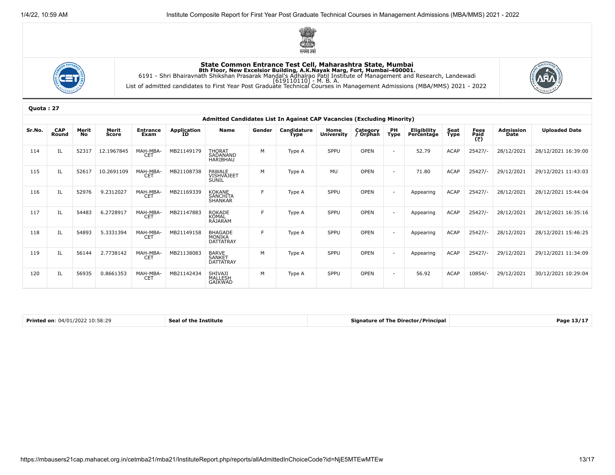





|        | Admitted Candidates List In Against CAP Vacancies (Excluding Minority) |                    |                |                         |                          |                                       |        |                     |                           |                      |                          |                                  |              |                              |                          |                      |
|--------|------------------------------------------------------------------------|--------------------|----------------|-------------------------|--------------------------|---------------------------------------|--------|---------------------|---------------------------|----------------------|--------------------------|----------------------------------|--------------|------------------------------|--------------------------|----------------------|
| Sr.No. | <b>CAP</b><br>Round                                                    | Merit<br><b>No</b> | Merit<br>Score | <b>Entrance</b><br>Exam | <b>Application</b><br>ΙD | <b>Name</b>                           | Gender | Candidature<br>Type | Home<br><b>University</b> | Category<br>/ Orphan | PH<br><b>Type</b>        | <b>Eligibility</b><br>Percentage | Seat<br>Type | Fees<br>P <u>ai</u> d<br>(5) | <b>Admission</b><br>Date | <b>Uploaded Date</b> |
| 114    | IL.                                                                    | 52317              | 12.1967845     | MAH-MBA-<br><b>CET</b>  | MB21149179               | THORAT<br>SADANAND<br><b>HARIBHAU</b> | M      | Type A              | <b>SPPU</b>               | <b>OPEN</b>          | $\sim$                   | 52.79                            | <b>ACAP</b>  | $25427/-$                    | 28/12/2021               | 28/12/2021 16:39:00  |
| 115    | IL                                                                     | 52617              | 10.2691109     | MAH-MBA-<br><b>CET</b>  | MB21108738               | <b>PAWALE</b><br>VISHVAJEET<br>SUNIL  | M      | Type A              | MU                        | OPEN                 | $\overline{a}$           | 71.80                            | <b>ACAP</b>  | $25427/-$                    | 29/12/2021               | 29/12/2021 11:43:03  |
| 116    | IL.                                                                    | 52976              | 9.2312027      | MAH-MBA-<br>CET         | MB21169339               | KOKANE<br>SANCHITA<br>SHANKAR         | F      | Type A              | SPPU                      | OPEN                 | $\overline{a}$           | Appearing                        | <b>ACAP</b>  | $25427/-$                    | 28/12/2021               | 28/12/2021 15:44:04  |
| 117    | IL.                                                                    | 54483              | 6.2728917      | MAH-MBA-<br><b>CET</b>  | MB21147883               | ROKADE<br><b>KOMAL</b><br>RAJARAM     | F      | Type A              | SPPU                      | <b>OPEN</b>          | $\overline{\phantom{a}}$ | Appearing                        | ACAP         | $25427/-$                    | 28/12/2021               | 28/12/2021 16:35:16  |
| 118    | IL                                                                     | 54893              | 5.3331394      | MAH-MBA-<br>CET         | MB21149158               | <b>BHAGADE</b><br>MÖNIKA<br>DATTATRAY | F      | Type A              | SPPU                      | <b>OPEN</b>          | $\overline{a}$           | Appearing                        | <b>ACAP</b>  | $25427/-$                    | 28/12/2021               | 28/12/2021 15:46:25  |
| 119    | IL.                                                                    | 56144              | 2.7738142      | MAH-MBA-<br><b>CET</b>  | MB21138083               | BARVE<br>SANKET<br><b>DATTATRAY</b>   | M      | Type A              | <b>SPPU</b>               | <b>OPEN</b>          | $\sim$                   | Appearing                        | ACAP         | $25427/-$                    | 29/12/2021               | 29/12/2021 11:34:09  |
| 120    | IL                                                                     | 56935              | 0.8661353      | MAH-MBA-<br><b>CET</b>  | MB21142434               | SHIVAJI<br>MALLESH<br>GAIKWAD         | M      | Type A              | SPPU                      | <b>OPEN</b>          | $\sim$                   | 56.92                            | <b>ACAP</b>  | 10854/-                      | 29/12/2021               | 30/12/2021 10:29:04  |

| Printed on:<br>/01/202<br>טכי<br>10:58:29 | e Institute<br>or tne | e Director / Principal<br>Signature.<br>. The | ane<br>- 1 - 1 |
|-------------------------------------------|-----------------------|-----------------------------------------------|----------------|
|-------------------------------------------|-----------------------|-----------------------------------------------|----------------|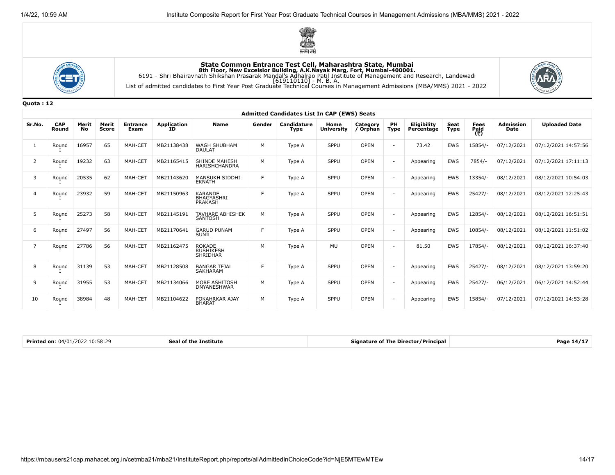





Quota : 12

|                | <b>Admitted Candidates List In CAP (EWS) Seats</b> |             |                |                         |                   |                                                       |        |                     |                           |                      |                          |                           |              |                            |                          |                      |
|----------------|----------------------------------------------------|-------------|----------------|-------------------------|-------------------|-------------------------------------------------------|--------|---------------------|---------------------------|----------------------|--------------------------|---------------------------|--------------|----------------------------|--------------------------|----------------------|
| Sr.No.         | <b>CAP</b><br>Round                                | Merit<br>No | Merit<br>Score | <b>Entrance</b><br>Exam | Application<br>ID | <b>Name</b>                                           | Gender | Candidature<br>Type | Home<br><b>University</b> | Category<br>/ Orphan | PH<br><b>Type</b>        | Eligibility<br>Percentage | Seat<br>Type | <b>Fees</b><br>Paid<br>(₹) | <b>Admission</b><br>Date | <b>Uploaded Date</b> |
| -1             | Round                                              | 16957       | 65             | MAH-CET                 | MB21138438        | <b>WAGH SHUBHAM</b><br>DAULAT                         | M      | Type A              | SPPU                      | <b>OPEN</b>          | $\overline{\phantom{0}}$ | 73.42                     | EWS          | 15854/-                    | 07/12/2021               | 07/12/2021 14:57:56  |
| 2              | Round                                              | 19232       | 63             | MAH-CET                 | MB21165415        | SHINDE MAHESH<br>HARISHCHANDRA                        | M      | Type A              | SPPU                      | OPEN                 | $\overline{\phantom{0}}$ | Appearing                 | EWS          | 7854/-                     | 07/12/2021               | 07/12/2021 17:11:13  |
| 3              | Round                                              | 20535       | 62             | MAH-CET                 | MB21143620        | <b>MANSUKH SIDDHI</b><br><b>EKNATH</b>                | F      | Type A              | SPPU                      | <b>OPEN</b>          |                          | Appearing                 | EWS          | 13354/-                    | 08/12/2021               | 08/12/2021 10:54:03  |
| $\overline{4}$ | Round                                              | 23932       | 59             | MAH-CET                 | MB21150963        | <b>KARANDE</b><br><b>BHAGYASHRI</b><br><b>PRAKASH</b> | F      | Type A              | SPPU                      | OPEN                 |                          | Appearing                 | <b>EWS</b>   | $25427/-$                  | 08/12/2021               | 08/12/2021 12:25:43  |
| 5              | Round                                              | 25273       | 58             | MAH-CET                 | MB21145191        | <b>TAVHARE ABHISHEK</b><br><b>SANTOSH</b>             | M      | Type A              | SPPU                      | <b>OPEN</b>          |                          | Appearing                 | EWS          | 12854/-                    | 08/12/2021               | 08/12/2021 16:51:51  |
| 6              | Round                                              | 27497       | 56             | MAH-CET                 | MB21170641        | <b>GARUD PUNAM</b><br>SUNIL                           | F      | Type A              | SPPU                      | <b>OPEN</b>          |                          | Appearing                 | EWS          | 10854/-                    | 08/12/2021               | 08/12/2021 11:51:02  |
| 7              | Round                                              | 27786       | 56             | MAH-CET                 | MB21162475        | <b>ROKADE</b><br><b>RUSHIKESH</b><br><b>SHRIDHAR</b>  | M      | Type A              | <b>MU</b>                 | <b>OPEN</b>          | $\overline{\phantom{0}}$ | 81.50                     | <b>EWS</b>   | 17854/-                    | 08/12/2021               | 08/12/2021 16:37:40  |
| 8              | Round                                              | 31139       | 53             | MAH-CET                 | MB21128508        | <b>BANGAR TEJAL</b><br><b>SAKHARAM</b>                | F      | Type A              | SPPU                      | <b>OPEN</b>          |                          | Appearing                 | <b>EWS</b>   | $25427/-$                  | 08/12/2021               | 08/12/2021 13:59:20  |
| 9              | Round                                              | 31955       | 53             | MAH-CET                 | MB21134066        | MORE ASHITOSH<br><b>DNYANESHWAR</b>                   | M      | Type A              | SPPU                      | <b>OPEN</b>          |                          | Appearing                 | EWS          | $25427/-$                  | 06/12/2021               | 06/12/2021 14:52:44  |
| 10             | Round                                              | 38984       | 48             | MAH-CET                 | MB21104622        | POKAHRKAR AJAY<br><b>BHARAT</b>                       | M      | Type A              | SPPU                      | <b>OPEN</b>          |                          | Appearing                 | EWS          | 15854/-                    | 07/12/2021               | 07/12/2021 14:53:28  |

Printed on: 04/01/2022 10:58:29 Seal of the Institute Seal of the Institute Signature of The Director/Principal Page 14/17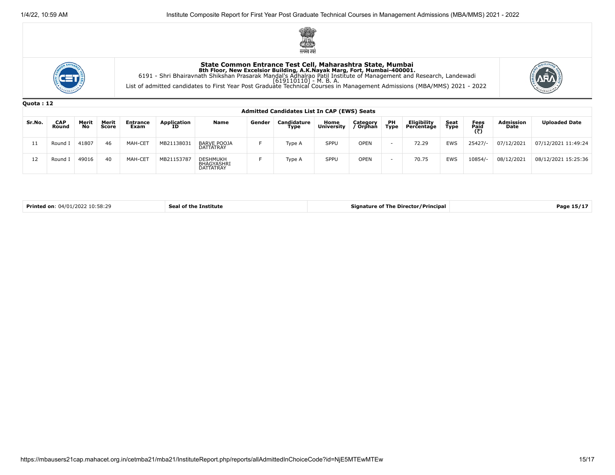





|        | <b>Ouota: 12</b>                                   |                    |                |                         |                   |                                                          |        |                     |                           |                      |                          |                           |              |                     |                          |                      |
|--------|----------------------------------------------------|--------------------|----------------|-------------------------|-------------------|----------------------------------------------------------|--------|---------------------|---------------------------|----------------------|--------------------------|---------------------------|--------------|---------------------|--------------------------|----------------------|
|        | <b>Admitted Candidates List In CAP (EWS) Seats</b> |                    |                |                         |                   |                                                          |        |                     |                           |                      |                          |                           |              |                     |                          |                      |
| Sr.No. | <b>CAP</b><br>Round                                | Merit<br><b>No</b> | Merit<br>Score | <b>Entrance</b><br>Exam | Application<br>ID | Name                                                     | Gender | Candidature<br>Type | Home<br><b>University</b> | Category<br>/ Orphan | <b>PH</b><br><b>Type</b> | Eligibility<br>Percentage | Seat<br>Type | Fees<br>Paid<br>(₹) | <b>Admission</b><br>Date | <b>Uploaded Date</b> |
| 11     | Round I                                            | 41807              | 46             | MAH-CET                 | MB21138031        | <b>BARVE POOJA</b><br><b>DATTATRAY</b>                   |        | Type A              | SPPU                      | <b>OPEN</b>          | $\sim$                   | 72.29                     | EWS          | $25427/-$           | 07/12/2021               | 07/12/2021 11:49:24  |
| 12     | Round I                                            | 49016              | 40             | MAH-CET                 | MB21153787        | <b>DESHMUKH</b><br><b>BHAGYASHRI</b><br><b>DATTATRAY</b> |        | Type A              | SPPU                      | <b>OPEN</b>          | $\overline{\phantom{0}}$ | 70.75                     | EWS          | 10854/-             | 08/12/2021               | 08/12/2021 15:25:36  |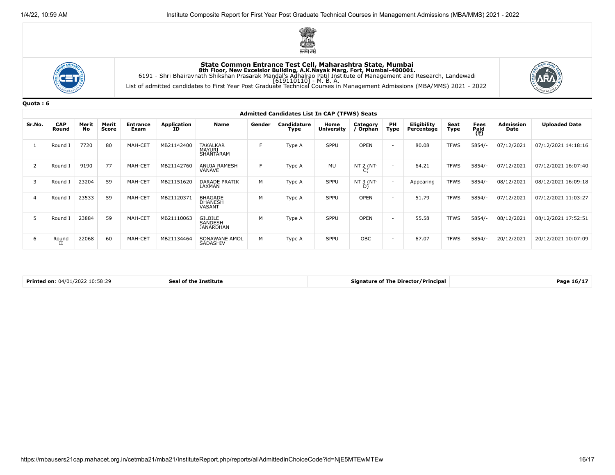





|                | <b>Admitted Candidates List In CAP (TFWS) Seats</b> |                    |                |                         |                          |                                            |        |                     |                           |                      |                          |                                  |              |                                             |                          |                      |
|----------------|-----------------------------------------------------|--------------------|----------------|-------------------------|--------------------------|--------------------------------------------|--------|---------------------|---------------------------|----------------------|--------------------------|----------------------------------|--------------|---------------------------------------------|--------------------------|----------------------|
| Sr.No.         | <b>CAP</b><br>Round                                 | Merit<br><b>No</b> | Merit<br>Score | <b>Entrance</b><br>Exam | <b>Application</b><br>ΙD | Name                                       | Gender | Candidature<br>Type | Home<br><b>University</b> | Category<br>/ Orphan | PH<br>Type               | <b>Eligibility</b><br>Percentage | Seat<br>Type | Fees<br>Paid<br>$\overline{(\overline{z})}$ | <b>Admission</b><br>Date | <b>Uploaded Date</b> |
|                | Round I                                             | 7720               | 80             | MAH-CET                 | MB21142400               | <b>TAKALKAR</b><br>MAYURI<br>SHANTARAM     | F.     | Type A              | SPPU                      | <b>OPEN</b>          | $\sim$                   | 80.08                            | <b>TFWS</b>  | $5854/-$                                    | 07/12/2021               | 07/12/2021 14:18:16  |
| $\overline{2}$ | Round I                                             | 9190               | 77             | MAH-CET                 | MB21142760               | ANUJA RAMESH<br>VANAVE                     | E      | Type A              | <b>MU</b>                 | NT 2 (NT-            | $\overline{\phantom{a}}$ | 64.21                            | <b>TFWS</b>  | $5854/-$                                    | 07/12/2021               | 07/12/2021 16:07:40  |
| 3              | Round I                                             | 23204              | 59             | MAH-CET                 | MB21151620               | <b>DARADE PRATIK</b><br>LAXMAN             | M      | Type A              | SPPU                      | NT 3 (NT-            | $\overline{\phantom{a}}$ | Appearing                        | <b>TFWS</b>  | $5854/-$                                    | 08/12/2021               | 08/12/2021 16:09:18  |
| $\overline{4}$ | Round I                                             | 23533              | 59             | MAH-CET                 | MB21120371               | <b>BHAGADE</b><br><b>DHANESH</b><br>VASANT | M      | Type A              | SPPU                      | <b>OPEN</b>          | $\sim$                   | 51.79                            | <b>TFWS</b>  | $5854/-$                                    | 07/12/2021               | 07/12/2021 11:03:27  |
|                | Round I                                             | 23884              | 59             | MAH-CET                 | MB21110063               | GILBILE<br>SANDESH<br><b>JANARDHAN</b>     | M      | Type A              | SPPU                      | <b>OPEN</b>          | $\sim$                   | 55.58                            | <b>TFWS</b>  | $5854/-$                                    | 08/12/2021               | 08/12/2021 17:52:51  |
| 6              | Round                                               | 22068              | 60             | MAH-CET                 | MB21134464               | SONAWANE AMOL<br>SADASHIV                  | M      | Type A              | SPPU                      | <b>OBC</b>           | $\sim$                   | 67.07                            | <b>TFWS</b>  | $5854/-$                                    | 20/12/2021               | 20/12/2021 10:07:09  |

| <b>Printed on</b><br>.<br>$\overline{\phantom{a}}$<br>. | Institute<br>тп | ' <sup>o</sup> rincipa.<br>signature of the Direct<br>ector / F | - - - -<br>- Рась<br>-167 |
|---------------------------------------------------------|-----------------|-----------------------------------------------------------------|---------------------------|
|---------------------------------------------------------|-----------------|-----------------------------------------------------------------|---------------------------|